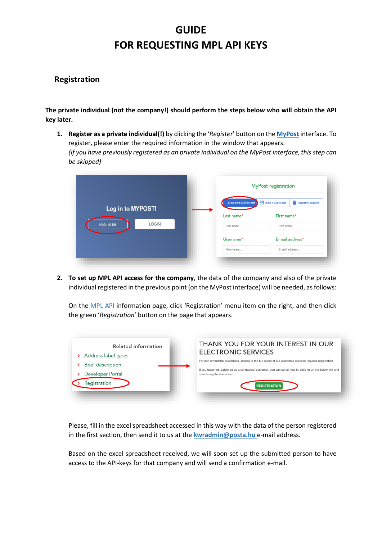## **GUIDE FOR REQUESTING MPL API KEYS**

## **Registration**

**The private individual (not the company!) should perform the steps below who will obtain the API key later.** 

**1. Register as a private individual(!)** by clicking the '*Register*' button on the **[MyPost](https://www.posta.hu/szolgaltatasok/?ln=en)** interface. To register, please enter the required information in the window that appears. *(If you have previously registered as an private individual on the MyPost interface, this step can be skipped)*

|                                 |                             | <b>MyPost registration</b>                  |  |
|---------------------------------|-----------------------------|---------------------------------------------|--|
| Log in to MYPOST!               | I do not have a MyPost card | I have a MyPost card<br>Register as company |  |
|                                 | Last name*                  | First name*                                 |  |
| <b>REGISTER</b><br><b>LOGIN</b> | Last name                   | First name                                  |  |
|                                 | Username*                   | E-mail address*                             |  |
|                                 | Username                    | E-mail address                              |  |

**2. To set up MPL API access for the company**, the data of the company and also of the private individual registered in the previous point (on the MyPost interface) will be needed, as follows:

On the [MPL API](https://www.posta.hu/mplapi_eng) information page, click 'Registration' menu item on the right, and then click the green '*Registration*' button on the page that appears.



Please, fill in the excel spreadsheet accessed in this way with the data of the person registered in the first section, then send it to us at the **[kwradmin@posta.hu](mailto:kwradmin@posta.hu)** e-mail address.

Based on the excel spreadsheet received, we will soon set up the submitted person to have access to the API-keys for that company and will send a confirmation e-mail.